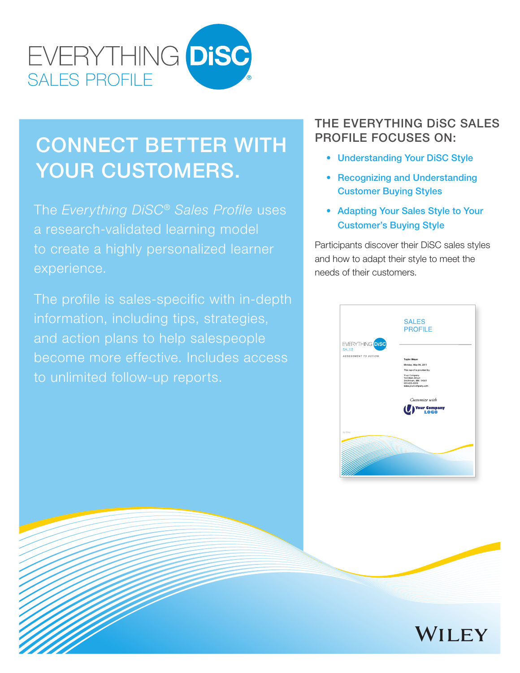

# CONNECT BETTER WITH YOUR CUSTOMERS.

The *Everything DiSC® Sales Profile* uses a research-validated learning model to create a highly personalized learner experience.

The profile is sales-specific with in-depth information, including tips, strategies, and action plans to help salespeople become more effective. Includes access to unlimited follow-up reports.

### THE EVERYTHING DiSC SALES PROFILE FOCUSES ON:

- Understanding Your DiSC Style
- Recognizing and Understanding Customer Buying Styles
- Adapting Your Sales Style to Your Customer's Buying Style

 Participants discover their DiSC sales styles and how to adapt their style to meet the needs of their customers.

|                                                                | <b>SALES</b><br><b>PROFILE</b>                                                                                                                       |
|----------------------------------------------------------------|------------------------------------------------------------------------------------------------------------------------------------------------------|
| EVERYTHING <mark>DISC</mark><br>SALES<br>ASSESSMENT TO ACTION. | <b>Taylor Meyer</b><br>Monday, May 09, 2011<br>This report is provided by:<br>Your Company<br>123 Main Street<br>Smithtown, MN 54321<br>555-555-5555 |
|                                                                | www.yourcompany.com<br>Customize with<br>Your Company                                                                                                |
| by Wiley                                                       |                                                                                                                                                      |
|                                                                |                                                                                                                                                      |